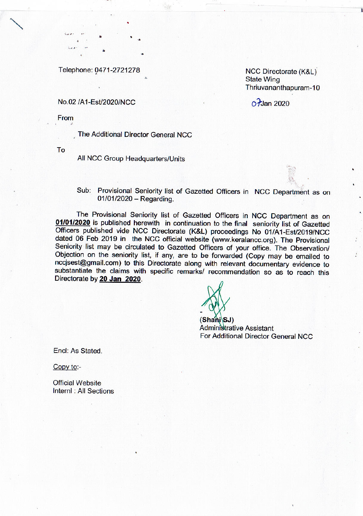Telephone: 0471-2721278

### NCC Directorate (K&L) **State Wing** Thriuvananthapuram-10

## $\alpha$  Jan 2020

#### No.02 /A1-Est/2020/NCC

From

The Additional Director General NCC

To

All NCC Group Headquarters/Units

Sub: Provisional Seniority list of Gazetted Officers in NCC Department as on  $01/01/2020 -$ Regarding.

The Provisional Seniority list of Gazetted Officers in NCC Department as on 01/01/2020 is published herewith in continuation to the final seniority list of Gazetted Officers published vide NCC Directorate (K&L) proceedings No 01/A1-Est/2019/NCC dated 06 Feb 2019 in the NCC official website (www.keralancc.org). The Provisional Seniority list may be circulated to Gazetted Officers of your office. The Observation/ Objection on the seniority list, if any, are to be forwarded (Copy may be emailed to nccisest@gmail.com) to this Directorate along with relevant documentary evidence to substantiate the claims with specific remarks/ recommendation so as to reach this Directorate by 20 Jan 2020.

 $(Shani\ SJ)$ 

**Administrative Assistant** For Additional Director General NCC

Encl: As Stated.

Copy to:-

**Official Website** Internl: All Sections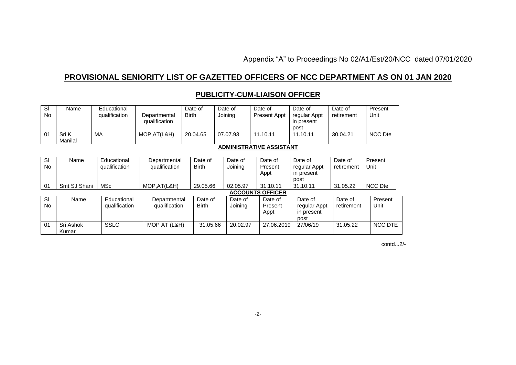Appendix "A" to Proceedings No 02/A1/Est/20/NCC dated 07/01/2020

# **PROVISIONAL SENIORITY LIST OF GAZETTED OFFICERS OF NCC DEPARTMENT AS ON 01 JAN 2020**

#### Sl No Name Educational<br>qualification Departmental qualification Date of Birth Date of Joining Date of Present Appt Date of regular Appt in present post<br>11.10.11 Date of retirement **Present** Unit  $01$  Sri K Manilal MA MOP,AT(L&H) 20.04.65 07.07.93 11.10.11 11.10.11 30.04.21 NCC Dte **ADMINISTRATIVE ASSISTANT** Sl No Name Educational qualification **Departmental** qualification Date of Birth Date of Joining Date of Present Appt Date of regular Appt in present post<br>31.10.11 Date of retirement **Present** Unit 01 Smt SJ Shani | MSc MOP,AT(L&H) 29.05.66 02.05.97 31.10.11 31.10.11 31.05.22 NCC Dte **ACCOUNTS OFFICER** Sl No Name Educational qualification **Departmental** qualification Date of Birth Date of Joining Date of Present Appt Date of regular Appt in present post Date of retirement **Present** Unit 01 Sri Ashok Kumar SSLC MOP AT (L&H) 31.05.66 20.02.97 27.06.2019 27/06/19 31.05.22 NCC DTE

# **PUBLICITY-CUM-LIAISON OFFICER**

contd...2/- with the contdition of the contdition of the contdition of the contdition of the contdition of the contdition of the contdition of the contdition of the contdition of the contdition of the contdition of the con